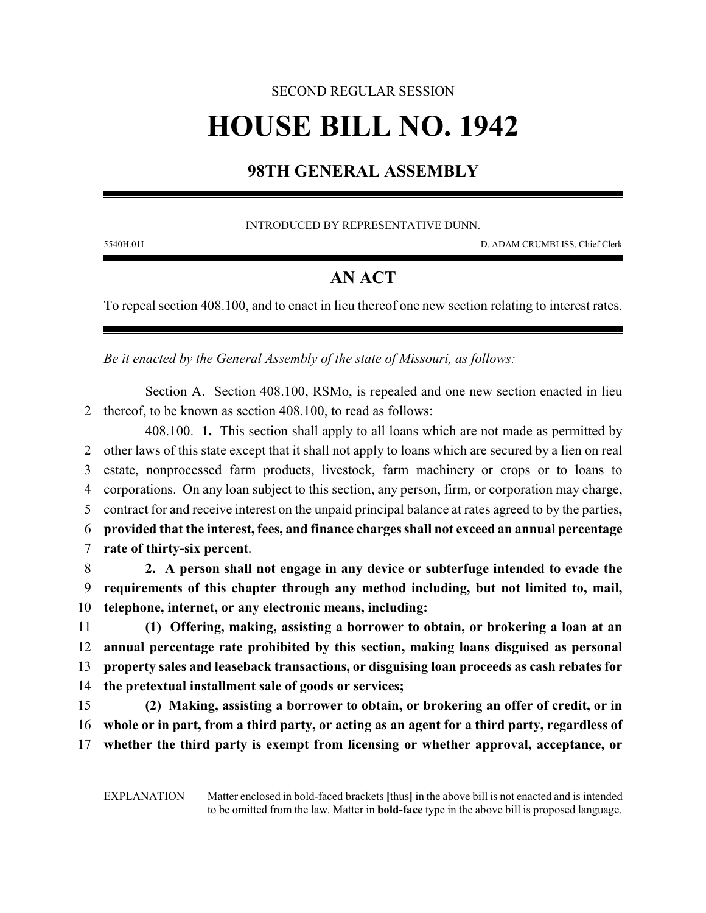## SECOND REGULAR SESSION **HOUSE BILL NO. 1942**

## **98TH GENERAL ASSEMBLY**

INTRODUCED BY REPRESENTATIVE DUNN.

5540H.01I D. ADAM CRUMBLISS, Chief Clerk

## **AN ACT**

To repeal section 408.100, and to enact in lieu thereof one new section relating to interest rates.

*Be it enacted by the General Assembly of the state of Missouri, as follows:*

Section A. Section 408.100, RSMo, is repealed and one new section enacted in lieu 2 thereof, to be known as section 408.100, to read as follows:

408.100. **1.** This section shall apply to all loans which are not made as permitted by other laws of this state except that it shall not apply to loans which are secured by a lien on real estate, nonprocessed farm products, livestock, farm machinery or crops or to loans to corporations. On any loan subject to this section, any person, firm, or corporation may charge, contract for and receive interest on the unpaid principal balance at rates agreed to by the parties**, provided that the interest, fees, and finance charges shall not exceed an annual percentage rate of thirty-six percent**.

8 **2. A person shall not engage in any device or subterfuge intended to evade the** 9 **requirements of this chapter through any method including, but not limited to, mail,** 10 **telephone, internet, or any electronic means, including:**

 **(1) Offering, making, assisting a borrower to obtain, or brokering a loan at an annual percentage rate prohibited by this section, making loans disguised as personal property sales and leaseback transactions, or disguising loan proceeds as cash rebates for the pretextual installment sale of goods or services;**

15 **(2) Making, assisting a borrower to obtain, or brokering an offer of credit, or in** 16 **whole or in part, from a third party, or acting as an agent for a third party, regardless of** 17 **whether the third party is exempt from licensing or whether approval, acceptance, or**

EXPLANATION — Matter enclosed in bold-faced brackets **[**thus**]** in the above bill is not enacted and is intended to be omitted from the law. Matter in **bold-face** type in the above bill is proposed language.